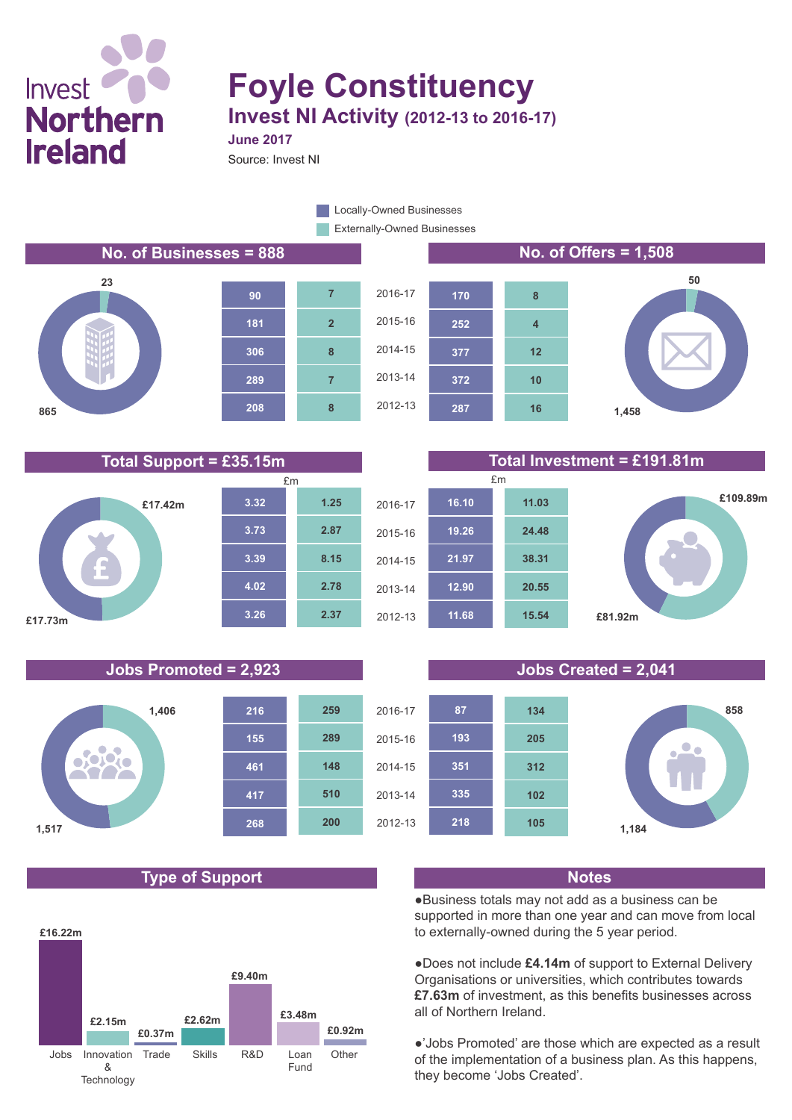# Invest<sup>(</sup> **Northern Ireland**

**23**

**865**

## **Foyle Constituency Invest NI Activity (2012-13 to 2016-17)**

Source: Invest NI

**June 2017**

Externally-Owned Businesses **Locally-Owned Businesses** 











### **Total Support = £35.15m Total Investment = £191.81m**



#### **Jobs Promoted = 2,923 Jobs Created = 2,041**



#### **Type of Support Notes**





●Business totals may not add as a business can be supported in more than one year and can move from local to externally-owned during the 5 year period.

●Does not include **£4.14m** of support to External Delivery Organisations or universities, which contributes towards **£7.63m** of investment, as this benefits businesses across all of Northern Ireland.

●'Jobs Promoted' are those which are expected as a result of the implementation of a business plan. As this happens, they become 'Jobs Created'.